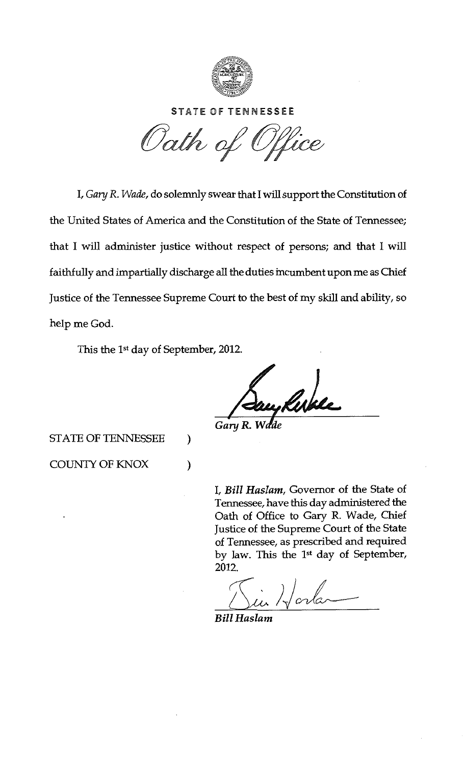

## STATE Of TENNESSEE

Oath of Office

I, *Gary R. Wade,* do solemnly swear that I will support the Constitution of the United States of America and the Constitution of the State of Tennessee; that I will administer justice without respect of persons; and that I will faithfully and impartially discharge all the duties incumbent upon me as Chief Justice of the Tennessee Supreme Court to the best of my skill and ability, so help me God.

This the 1st day of September, 2012.

Rwse

Gary R. Wade

STATE OF TENNESSEE )

COUNTY OF KNOX (

I, *Bill Haslam,* Governor of the State of Tennessee, have this day administered the Oath of Office to Gary R. Wade, Chief Justice of the Supreme Court of the State of Tennessee, as prescribed and required by law. This the 1st day of September, 2012.

Horla

*Bill Haslam*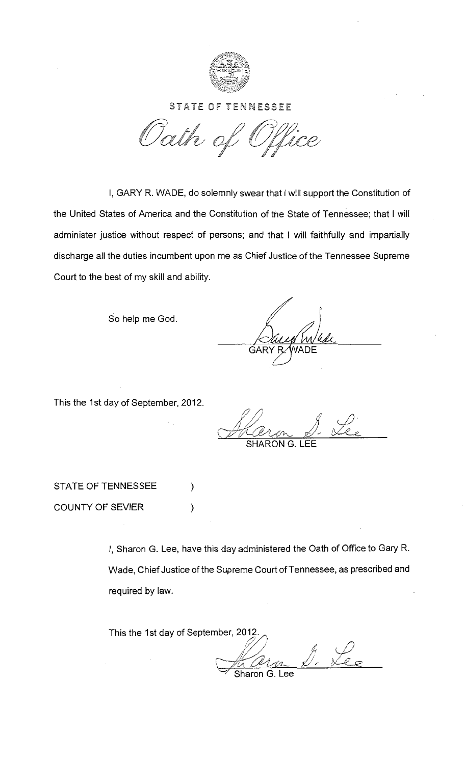

## STATE OF TENNESSEE

Oath of Wice

I, GARY R. WADE, do solemnly swear that I will support the Constitution of the United States of America and the Constitution of the State of Tennessee; that I will administer justice without respect of persons; and that I will faithfully and impartially discharge all the duties incumbent upon me as Chief Justice of the Tennessee Supreme Court to the best of my skill and ability.

So help me God.

GAI

This the 1st day of September, 2012.

SHARON G. LEE

STATE OF TENNESSEE  $)$ COUNTY OF SEVIER (1)

> I, Sharon G. Lee, have this day administered the Oath of Office to Gary R. Wade, Chief Justice of the Supreme Court of Tennessee, as prescribed and required by law.

This the 1st day of September, 2012.

 $\frac{1}{2}$  / / / ~~ Sharon G. Lee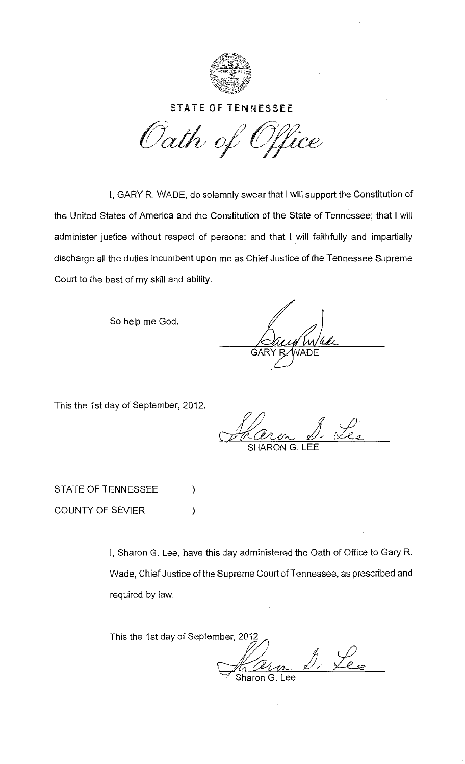

## STATE OF TENNESSEE

Oath of Office

I, GARY R. WADE, do solemnly swear that I will support the Constitution of the United States of America and the Constitution of the State of Tennessee; that I will administer justice without respect of persons; and that I will faithfully and impartially discharge all the duties incumbent upon me as Chief Justice of the Tennessee Supreme Court to the best of my skill and ability.

So help me God.

VADE GAF

This the 1st day of September, 2012.

SHARON G I FF

STATE OF TENNESSEE  $)$ COUNTY OF SEVIER (1)

> I, Sharon G. Lee, have this day administered the Oath of Office to Gary R. Wade, Chief Justice of the Supreme Court of Tennessee, as prescribed and required by law.

This the 1st day of September, 2012.<br> $\frac{1}{\sqrt{2\pi}}$ 

Sharon G. Lee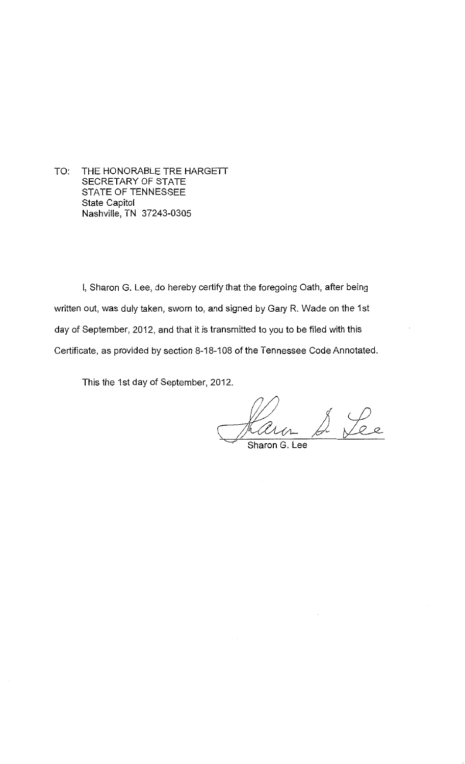TO: THE HONORABLE TRE HARGETT SECRETARY OF STATE STATE OF TENNESSEE State Capitol Nashville, TN 37243-0305

I, Sharon G. Lee, do hereby certify that the foregoing Oath, after being written out, was duly taken, sworn to, and signed by Gary R. Wade on the 1st day of September, 2012, and that it is transmitted to you to be filed with this Certificate, as provided by section 8-18-108 of the Tennessee Code Annotated.

This the 1st day of September, 2012.

tee

Sharon G. Lee